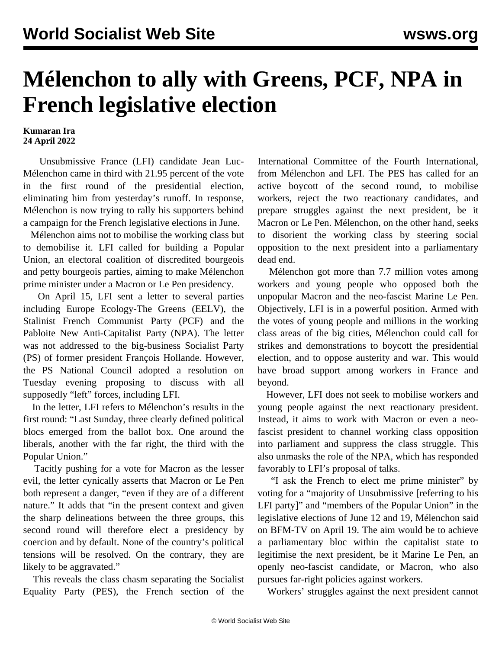## **Mélenchon to ally with Greens, PCF, NPA in French legislative election**

## **Kumaran Ira 24 April 2022**

 Unsubmissive France (LFI) candidate Jean Luc-Mélenchon came in third with 21.95 percent of the vote in the first round of the presidential election, eliminating him from yesterday's runoff. In response, Mélenchon is now trying to rally his supporters behind a campaign for the French legislative elections in June.

 Mélenchon aims not to mobilise the working class but to demobilise it. LFI called for building a Popular Union, an electoral coalition of discredited bourgeois and petty bourgeois parties, aiming to make Mélenchon prime minister under a Macron or Le Pen presidency.

 On April 15, LFI sent a letter to several parties including Europe Ecology-The Greens (EELV), the Stalinist French Communist Party (PCF) and the Pabloite New Anti-Capitalist Party (NPA). The letter was not addressed to the big-business Socialist Party (PS) of former president François Hollande. However, the PS National Council adopted a resolution on Tuesday evening proposing to discuss with all supposedly "left" forces, including LFI.

 In the letter, LFI refers to Mélenchon's results in the first round: "Last Sunday, three clearly defined political blocs emerged from the ballot box. One around the liberals, another with the far right, the third with the Popular Union."

 Tacitly pushing for a vote for Macron as the lesser evil, the letter cynically asserts that Macron or Le Pen both represent a danger, "even if they are of a different nature." It adds that "in the present context and given the sharp delineations between the three groups, this second round will therefore elect a presidency by coercion and by default. None of the country's political tensions will be resolved. On the contrary, they are likely to be aggravated."

 This reveals the class chasm separating the Socialist Equality Party (PES), the French section of the

International Committee of the Fourth International, from Mélenchon and LFI. The PES has called for an active boycott of the second round, to mobilise workers, reject the two reactionary candidates, and prepare struggles against the next president, be it Macron or Le Pen. Mélenchon, on the other hand, seeks to disorient the working class by steering social opposition to the next president into a parliamentary dead end.

 Mélenchon got more than 7.7 million votes among workers and young people who opposed both the unpopular Macron and the neo-fascist Marine Le Pen. Objectively, LFI is in a powerful position. Armed with the votes of young people and millions in the working class areas of the big cities, Mélenchon could call for strikes and demonstrations to boycott the presidential election, and to oppose austerity and war. This would have broad support among workers in France and beyond.

 However, LFI does not seek to mobilise workers and young people against the next reactionary president. Instead, it aims to work with Macron or even a neofascist president to channel working class opposition into parliament and suppress the class struggle. This also unmasks the role of the NPA, which has responded favorably to LFI's proposal of talks.

 "I ask the French to elect me prime minister" by voting for a "majority of Unsubmissive [referring to his LFI party]" and "members of the Popular Union" in the legislative elections of June 12 and 19, Mélenchon said on BFM-TV on April 19. The aim would be to achieve a parliamentary bloc within the capitalist state to legitimise the next president, be it Marine Le Pen, an openly neo-fascist candidate, or Macron, who also pursues far-right policies against workers.

Workers' struggles against the next president cannot